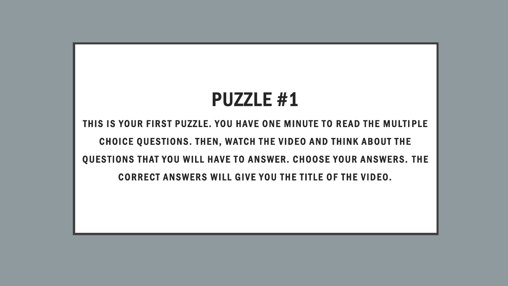## PUZZLE #1

THIS IS YOUR FIRST PUZZLE. YOU HAVE ONE MINUTE TO READ THE MULTIPLE CHOICE QUESTIONS. THEN, WATCH THE VIDEO AND THINK ABOUT THE QUESTIONS THAT YOU WILL HAVE TO ANSWER. CHOOSE YOUR ANSWERS. THE CORRECT ANSWERS WILL GIVE YOU THE TITLE OF THE VIDEO.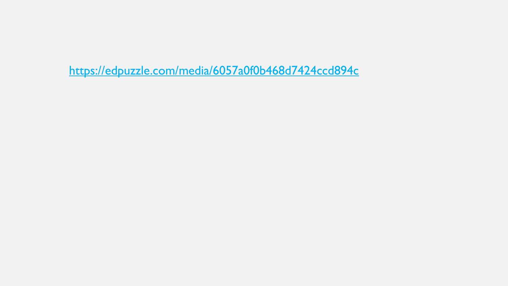https://edpuzzle.com/media/6057a0f0b468d7424ccd894c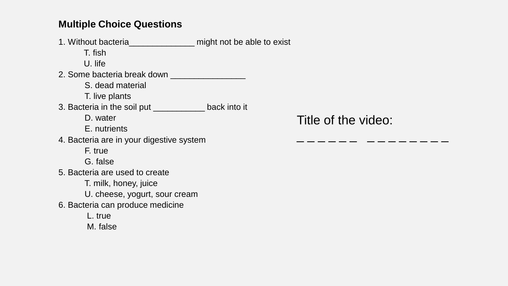## **Multiple Choice Questions**

1. Without bacteria\_\_\_\_\_\_\_\_\_\_\_\_\_\_ might not be able to exist T. fish U. life 2. Some bacteria break down S. dead material T. live plants 3. Bacteria in the soil put \_\_\_\_\_\_\_\_\_\_\_ back into it D. water E. nutrients 4. Bacteria are in your digestive system F. true G. false 5. Bacteria are used to create T. milk, honey, juice U. cheese, yogurt, sour cream 6. Bacteria can produce medicine L. true M. false

Title of the video:

\_ \_ \_ \_ \_ \_ *\_ \_ \_ \_ \_ \_ \_ \_*